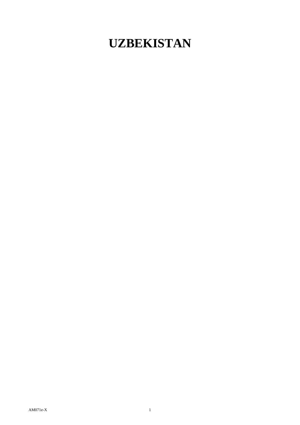## **UZBEKISTAN**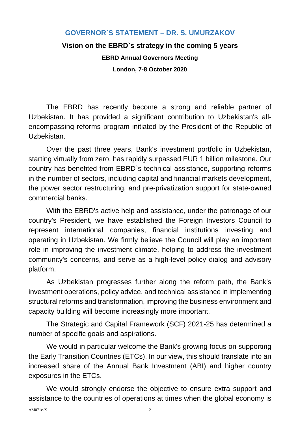## **GOVERNOR`S STATEMENT – DR. S. UMURZAKOV**

## **Vision on the EBRD`s strategy in the coming 5 years**

**EBRD Annual Governors Meeting**

**London, 7-8 October 2020**

The EBRD has recently become a strong and reliable partner of Uzbekistan. It has provided a significant contribution to Uzbekistan's allencompassing reforms program initiated by the President of the Republic of Uzbekistan.

Over the past three years, Bank's investment portfolio in Uzbekistan, starting virtually from zero, has rapidly surpassed EUR 1 billion milestone. Our country has benefited from EBRD`s technical assistance, supporting reforms in the number of sectors, including capital and financial markets development, the power sector restructuring, and pre-privatization support for state-owned commercial banks.

With the EBRD's active help and assistance, under the patronage of our country's President, we have established the Foreign Investors Council to represent international companies, financial institutions investing and operating in Uzbekistan. We firmly believe the Council will play an important role in improving the investment climate, helping to address the investment community's concerns, and serve as a high-level policy dialog and advisory platform.

As Uzbekistan progresses further along the reform path, the Bank's investment operations, policy advice, and technical assistance in implementing structural reforms and transformation, improving the business environment and capacity building will become increasingly more important.

The Strategic and Capital Framework (SCF) 2021-25 has determined а number of specific goals and aspirations.

We would in particular welcome the Bank's growing focus on supporting the Early Transition Countries (ETCs). In our view, this should translate into an increased share of the Annual Bank Investment (ABI) and higher country exposures in the ETCs.

We would strongly endorse the objective to ensure extra support and assistance to the countries of operations at times when the global economy is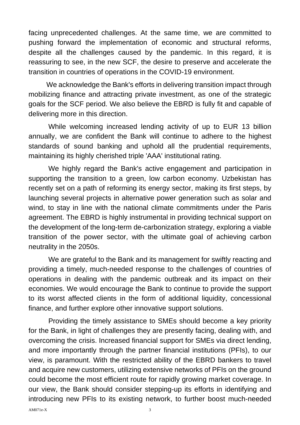facing unprecedented challenges. At the same time, we are committed to pushing forward the implementation of economic and structural reforms, despite all the challenges caused by the pandemic. In this regard, it is reassuring to see, in the new SCF, the desire to preserve and accelerate the transition in countries of operations in the COVID-19 environment.

We acknowledge the Bank's efforts in delivering transition impact through mobilizing finance and attracting private investment, as one of the strategic goals for the SCF period. We also believe the EBRD is fully fit and capable of delivering more in this direction.

While welcoming increased lending activity of up to EUR 13 billion annually, we are confident the Bank will continue to adhere to the highest standards of sound banking and uphold all the prudential requirements, maintaining its highly cherished triple 'AAA' institutional rating.

We highly regard the Bank's active engagement and participation in supporting the transition to a green, low carbon economy. Uzbekistan has recently set on a path of reforming its energy sector, making its first steps, by launching several projects in alternative power generation such as solar and wind, to stay in line with the national climate commitments under the Paris agreement. The EBRD is highly instrumental in providing technical support on the development of the long-term de-carbonization strategy, exploring a viable transition of the power sector, with the ultimate goal of achieving carbon neutrality in the 2050s.

We are grateful to the Bank and its management for swiftly reacting and providing a timely, much-needed response to the challenges of countries of operations in dealing with the pandemic outbreak and its impact on their economies. We would encourage the Bank to continue to provide the support to its worst affected clients in the form of additional liquidity, concessional finance, and further explore other innovative support solutions.

Providing the timely assistance to SMEs should become a key priority for the Bank, in light of challenges they are presently facing, dealing with, and overcoming the crisis. Increased financial support for SMEs via direct lending, and more importantly through the partner financial institutions (PFIs), to our view, is paramount. With the restricted ability of the EBRD bankers to travel and acquire new customers, utilizing extensive networks of PFIs on the ground could become the most efficient route for rapidly growing market coverage. In our view, the Bank should consider stepping-up its efforts in identifying and introducing new PFIs to its existing network, to further boost much-needed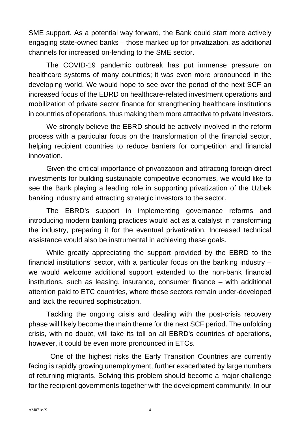SME support. As a potential way forward, the Bank could start more actively engaging state-owned banks – those marked up for privatization, as additional channels for increased on-lending to the SME sector.

The COVID-19 pandemic outbreak has put immense pressure on healthcare systems of many countries; it was even more pronounced in the developing world. We would hope to see over the period of the next SCF an increased focus of the EBRD on healthcare-related investment operations and mobilization of private sector finance for strengthening healthcare institutions in countries of operations, thus making them more attractive to private investors.

We strongly believe the EBRD should be actively involved in the reform process with a particular focus on the transformation of the financial sector, helping recipient countries to reduce barriers for competition and financial innovation.

Given the critical importance of privatization and attracting foreign direct investments for building sustainable competitive economies, we would like to see the Bank playing a leading role in supporting privatization of the Uzbek banking industry and attracting strategic investors to the sector.

The EBRD's support in implementing governance reforms and introducing modern banking practices would act as a catalyst in transforming the industry, preparing it for the eventual privatization. Increased technical assistance would also be instrumental in achieving these goals.

While greatly appreciating the support provided by the EBRD to the financial institutions' sector, with a particular focus on the banking industry – we would welcome additional support extended to the non-bank financial institutions, such as leasing, insurance, consumer finance – with additional attention paid to ETC countries, where these sectors remain under-developed and lack the required sophistication.

Tackling the ongoing crisis and dealing with the post-crisis recovery phase will likely become the main theme for the next SCF period. The unfolding crisis, with no doubt, will take its toll on all EBRD's countries of operations, however, it could be even more pronounced in ETCs.

One of the highest risks the Early Transition Countries are currently facing is rapidly growing unemployment, further exacerbated by large numbers of returning migrants. Solving this problem should become a major challenge for the recipient governments together with the development community. In our